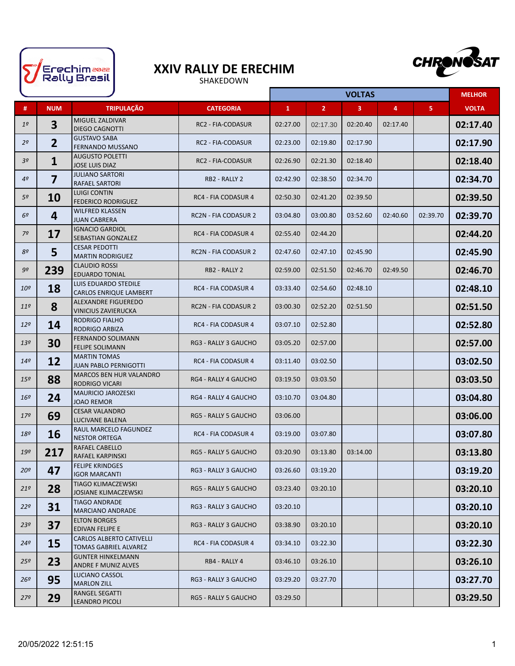

## **XXIV RALLY DE ERECHIM**

SHAKEDOWN



|                 |                         |                                                              |                             |              |                | <b>VOLTAS</b>  |          |          | <b>MELHOR</b> |
|-----------------|-------------------------|--------------------------------------------------------------|-----------------------------|--------------|----------------|----------------|----------|----------|---------------|
| #               | <b>NUM</b>              | <b>TRIPULAÇÃO</b>                                            | <b>CATEGORIA</b>            | $\mathbf{1}$ | 2 <sup>7</sup> | $\overline{3}$ | 4        | 5        | <b>VOLTA</b>  |
| 1 <sup>o</sup>  | $\overline{\mathbf{3}}$ | MIGUEL ZALDIVAR<br><b>DIEGO CAGNOTTI</b>                     | <b>RC2 - FIA-CODASUR</b>    | 02:27.00     | 02:17.30       | 02:20.40       | 02:17.40 |          | 02:17.40      |
| 2 <sup>o</sup>  | $\overline{2}$          | <b>GUSTAVO SABA</b><br><b>FERNANDO MUSSANO</b>               | <b>RC2 - FIA-CODASUR</b>    | 02:23.00     | 02:19.80       | 02:17.90       |          |          | 02:17.90      |
| 3 <sup>o</sup>  | $\mathbf{1}$            | <b>AUGUSTO POLETTI</b><br><b>JOSE LUIS DIAZ</b>              | <b>RC2 - FIA-CODASUR</b>    | 02:26.90     | 02:21.30       | 02:18.40       |          |          | 02:18.40      |
| 4 <sup>o</sup>  | $\overline{\mathbf{z}}$ | <b>JULIANO SARTORI</b><br><b>RAFAEL SARTORI</b>              | RB2 - RALLY 2               | 02:42.90     | 02:38.50       | 02:34.70       |          |          | 02:34.70      |
| 5º              | 10                      | <b>LUIGI CONTIN</b><br><b>FEDERICO RODRIGUEZ</b>             | RC4 - FIA CODASUR 4         | 02:50.30     | 02:41.20       | 02:39.50       |          |          | 02:39.50      |
| 6º              | 4                       | <b>WILFRED KLASSEN</b><br><b>JUAN CABRERA</b>                | <b>RC2N - FIA CODASUR 2</b> | 03:04.80     | 03:00.80       | 03:52.60       | 02:40.60 | 02:39.70 | 02:39.70      |
| 7º              | 17                      | <b>IGNACIO GARDIOL</b><br>SEBASTIAN GONZALEZ                 | RC4 - FIA CODASUR 4         | 02:55.40     | 02:44.20       |                |          |          | 02:44.20      |
| 8º              | 5                       | <b>CESAR PEDOTTI</b><br><b>MARTIN RODRIGUEZ</b>              | <b>RC2N - FIA CODASUR 2</b> | 02:47.60     | 02:47.10       | 02:45.90       |          |          | 02:45.90      |
| 9º              | 239                     | <b>CLAUDIO ROSSI</b><br><b>EDUARDO TONIAL</b>                | RB2 - RALLY 2               | 02:59.00     | 02:51.50       | 02:46.70       | 02:49.50 |          | 02:46.70      |
| 10 <sup>o</sup> | 18                      | <b>LUIS EDUARDO STEDILE</b><br><b>CARLOS ENRIQUE LAMBERT</b> | RC4 - FIA CODASUR 4         | 03:33.40     | 02:54.60       | 02:48.10       |          |          | 02:48.10      |
| 11 <sup>°</sup> | 8                       | <b>ALEXANDRE FIGUEREDO</b><br><b>VINICIUS ZAVIERUCKA</b>     | <b>RC2N - FIA CODASUR 2</b> | 03:00.30     | 02:52.20       | 02:51.50       |          |          | 02:51.50      |
| $12^{o}$        | 14                      | <b>RODRIGO FIALHO</b><br><b>RODRIGO ARBIZA</b>               | RC4 - FIA CODASUR 4         | 03:07.10     | 02:52.80       |                |          |          | 02:52.80      |
| 13 <sup>°</sup> | 30                      | <b>FERNANDO SOLIMANN</b><br><b>FELIPE SOLIMANN</b>           | <b>RG3 - RALLY 3 GAUCHO</b> | 03:05.20     | 02:57.00       |                |          |          | 02:57.00      |
| 14 <sup>°</sup> | 12                      | <b>MARTIN TOMAS</b><br><b>JUAN PABLO PERNIGOTTI</b>          | RC4 - FIA CODASUR 4         | 03:11.40     | 03:02.50       |                |          |          | 03:02.50      |
| 15 <sup>o</sup> | 88                      | <b>MARCOS BEN HUR VALANDRO</b><br><b>RODRIGO VICARI</b>      | <b>RG4 - RALLY 4 GAUCHO</b> | 03:19.50     | 03:03.50       |                |          |          | 03:03.50      |
| 16 <sup>o</sup> | 24                      | <b>MAURICIO JAROZESKI</b><br><b>JOAO REMOR</b>               | RG4 - RALLY 4 GAUCHO        | 03:10.70     | 03:04.80       |                |          |          | 03:04.80      |
| 179             | 69                      | <b>CESAR VALANDRO</b><br><b>LUCIVANE BALENA</b>              | <b>RG5 - RALLY 5 GAUCHO</b> | 03:06.00     |                |                |          |          | 03:06.00      |
| 18 <sup>o</sup> | 16                      | RAUL MARCELO FAGUNDEZ<br><b>NESTOR ORTEGA</b>                | RC4 - FIA CODASUR 4         | 03:19.00     | 03:07.80       |                |          |          | 03:07.80      |
| 19º             | 217                     | <b>RAFAEL CABELLO</b><br>RAFAEL KARPINSKI                    | RG5 - RALLY 5 GAUCHO        | 03:20.90     | 03:13.80       | 03:14.00       |          |          | 03:13.80      |
| ∙20             | 47                      | <b>FELIPE KRINDGES</b><br><b>IGOR MARCANTI</b>               | RG3 - RALLY 3 GAUCHO        | 03:26.60     | 03:19.20       |                |          |          | 03:19.20      |
| 21 <sup>o</sup> | 28                      | TIAGO KLIMACZEWSKI<br><b>JOSIANE KLIMACZEWSKI</b>            | RG5 - RALLY 5 GAUCHO        | 03:23.40     | 03:20.10       |                |          |          | 03:20.10      |
| 22 <sup>o</sup> | 31                      | <b>TIAGO ANDRADE</b><br><b>MARCIANO ANDRADE</b>              | RG3 - RALLY 3 GAUCHO        | 03:20.10     |                |                |          |          | 03:20.10      |
| 23 <sup>o</sup> | 37                      | <b>ELTON BORGES</b><br>EDIVAN FELIPE E                       | RG3 - RALLY 3 GAUCHO        | 03:38.90     | 03:20.10       |                |          |          | 03:20.10      |
| $24^{\circ}$    | 15                      | <b>CARLOS ALBERTO CATIVELLI</b><br>TOMAS GABRIEL ALVAREZ     | RC4 - FIA CODASUR 4         | 03:34.10     | 03:22.30       |                |          |          | 03:22.30      |
| $25^{\circ}$    | 23                      | <b>GUNTER HINKELMANN</b><br>ANDRE F MUNIZ ALVES              | RB4 - RALLY 4               | 03:46.10     | 03:26.10       |                |          |          | 03:26.10      |
| $26^{\circ}$    | 95                      | <b>LUCIANO CASSOL</b><br><b>MARLON ZILL</b>                  | RG3 - RALLY 3 GAUCHO        | 03:29.20     | 03:27.70       |                |          |          | 03:27.70      |
| 27 <sup>o</sup> | 29                      | RANGEL SEGATTI<br><b>LEANDRO PICOLI</b>                      | RG5 - RALLY 5 GAUCHO        | 03:29.50     |                |                |          |          | 03:29.50      |